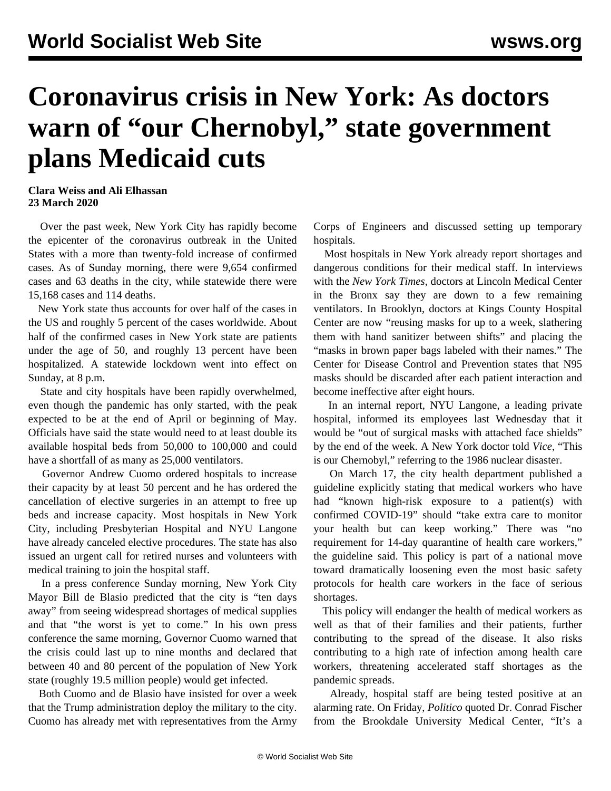## **Coronavirus crisis in New York: As doctors warn of "our Chernobyl," state government plans Medicaid cuts**

## **Clara Weiss and Ali Elhassan 23 March 2020**

 Over the past week, New York City has rapidly become the epicenter of the coronavirus outbreak in the United States with a more than twenty-fold increase of confirmed cases. As of Sunday morning, there were 9,654 confirmed cases and 63 deaths in the city, while statewide there were 15,168 cases and 114 deaths.

 New York state thus accounts for over half of the cases in the US and roughly 5 percent of the cases worldwide. About half of the confirmed cases in New York state are patients under the age of 50, and roughly 13 percent have been hospitalized. A statewide lockdown went into effect on Sunday, at 8 p.m.

 State and city hospitals have been rapidly overwhelmed, even though the pandemic has only started, with the peak expected to be at the end of April or beginning of May. Officials have said the state would need to at least double its available hospital beds from 50,000 to 100,000 and could have a shortfall of as many as 25,000 ventilators.

 Governor Andrew Cuomo ordered hospitals to increase their capacity by at least 50 percent and he has ordered the cancellation of elective surgeries in an attempt to free up beds and increase capacity. Most hospitals in New York City, including Presbyterian Hospital and NYU Langone have already canceled elective procedures. The state has also issued an urgent call for retired nurses and volunteers with medical training to join the hospital staff.

 In a press conference Sunday morning, New York City Mayor Bill de Blasio predicted that the city is "ten days away" from seeing widespread shortages of medical supplies and that "the worst is yet to come." In his own press conference the same morning, Governor Cuomo warned that the crisis could last up to nine months and declared that between 40 and 80 percent of the population of New York state (roughly 19.5 million people) would get infected.

 Both Cuomo and de Blasio have insisted for over a week that the Trump administration deploy the military to the city. Cuomo has already met with representatives from the Army Corps of Engineers and discussed setting up temporary hospitals.

 Most hospitals in New York already report shortages and dangerous conditions for their medical staff. In interviews with the *New York Times*, doctors at Lincoln Medical Center in the Bronx say they are down to a few remaining ventilators. In Brooklyn, doctors at Kings County Hospital Center are now "reusing masks for up to a week, slathering them with hand sanitizer between shifts" and placing the "masks in brown paper bags labeled with their names." The Center for Disease Control and Prevention states that N95 masks should be discarded after each patient interaction and become ineffective after eight hours.

 In an internal report, NYU Langone, a leading private hospital, informed its employees last Wednesday that it would be "out of surgical masks with attached face shields" by the end of the week. A New York doctor told *Vice*, "This is our Chernobyl," referring to the 1986 nuclear disaster.

 On March 17, the city health department published a guideline explicitly stating that medical workers who have had "known high-risk exposure to a patient(s) with confirmed COVID-19" should "take extra care to monitor your health but can keep working." There was "no requirement for 14-day quarantine of health care workers," the guideline said. This policy is part of a national move toward [dramatically loosening](/en/articles/2020/03/20/viru-m20.html) even the most basic safety protocols for health care workers in the face of serious shortages.

 This policy will endanger the health of medical workers as well as that of their families and their patients, further contributing to the spread of the disease. It also risks contributing to a high rate of infection among health care workers, threatening accelerated staff shortages as the pandemic spreads.

 Already, hospital staff are being tested positive at an alarming rate. On Friday, *Politico* quoted Dr. Conrad Fischer from the Brookdale University Medical Center, "It's a